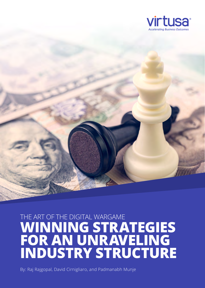

# THE ART OF THE DIGITAL WARGAME **WINNING STRATEGIES FOR AN UNRAVELING INDUSTRY STRUCTURE**

By: Raj Rajgopal, David Cirnigliaro, and Padmanabh Munje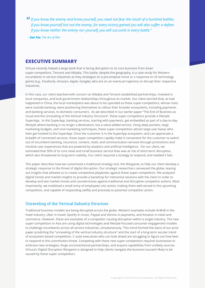*If you know the enemy and know yourself, you need not fear the result of a hundred battles.*  "*If you know yourself but not the enemy, for every victory gained you will also suffer a defeat. If you know neither the enemy nor yourself, you will succumb in every battle."*

*– Sun Tzu, The Art of War*

#### **EXECUTIVE SUMMARY**

Virtusa recently helped a large bank that is facing disruption to its core business from Asian super-competitors, Tencent and Alibaba. This battle, despite the geography, is a case study for Western incumbents in service industries as they strategize on a pre-emptive move or a response to US technology giants (e.g., Facebook, Amazon, Apple, Google), who are on an eventual trajectory to disrupt their respective industries.

In this case, our client watched with concern as Alibaba and Tencent established partnerships, invested in local companies, and built government relationships throughout its market. Our client worried that, as had happened in China, the local marketplace was about to be upended as these super-competitors, whose roots were outside banking, were positioning themselves to rollout their broader ecosystems, including payments and banking services, to domestic consumers. As we described in our earlier paper "The End of Business as Usual and the Unraveling of the Vertical Industry Structure", these super-competitors provide a lifestyle SuperApp. In this SuperApp, banking services, starting with payments, get embedded as part of a day-to-day lifestyle where banking is no longer a destination, but a value-added service. Using deep pockets, large marketing budgets, and viral marketing techniques, these super-competitors attract large user bases who then get hooked to the SuperApp. Once the customer is in the SuperApp ecosystem, and can appreciate a breadth of connected services, these super-competitors rapidly make it convenient for the customer to switch out of incumbent banking, insurance, content, retail, and communication services through promotions and intuitive user experiences that are powered by analytics and artificial intelligence. For our client, we estimated that 30% of its core retail and small business service lines was at risk of short-term disruption, which also threatened its long-term viability. Our client required a strategy to respond, and needed it fast.

This paper describes how we customized a traditional strategy tool, the Wargame, to help our client develop a strategic response to the threat of digital disruption. Our strategic researchers canvassed the globe, teasing out insights that allowed us to create competitive playbooks against these super-competitors. We analyzed digital trends and market insights to provide a backdrop for interactive sessions with the client in order to develop and test market moves and countermoves against traditional and disruptive competitor actions. Most importantly, we mobilized a small army of employees into action, making them well-versed in the upcoming competition, and capable of responding swiftly and precisely to potential competitor action.

#### Unraveling of the Vertical Industry Structure

Traditional business models are being disrupted across the globe. Western examples include AirBnB in the hotel industry, Uber in travel, Spotify in music, Paypal and Venmo in payments, and Amazon in retail and commerce. However, these are examples of a competitor causing disruption within a single industry. The new super-competitors in Asia are using digital technologies and lifestyle-focused consumer engagement models to challenge incumbents across all service industries, simultaneously. This trend formed the basis of our prior paper predicting the "unraveling of the vertical industry structure" and the start of a long-term secular trend of ecosystem-based competition. C-suite executives who can look ahead are struggling to figure out how best to respond to this unorthodox threat. Competing with these new super-competitors requires businesses to embrace new strategies, forge unconventional partnerships, and acquire capabilities from unlikely sources. Virtusa's Digital Disruption Wargame is designed to help clients navigate the business tsunami likely to be caused by these super-competitors.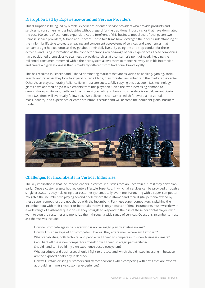### Disruption Led by Experience-oriented Service Providers

This disruption is being led by nimble, experience-oriented service providers who provide products and services to consumers across industries without regard for the traditional industry silos that have dominated the past 100 years of economic expansion. At the forefront of this business model sea-of-change are two Chinese service providers, Alibaba and Tencent. These two firms have leveraged their deep understanding of the millennial lifestyle to create engaging and convenient ecosystems of services and experiences that consumers get hooked onto, as they go about their daily lives. By being the one stop conduit for these activities and using information as the connector among a wide-range of daily experiences, these companies have positioned themselves to seamlessly provide services at a consumer's point of need. Keeping the millennial consumer immersed within their ecosystem allows them to monetize every possible interaction and create a digital stickiness that is markedly different from traditional brand loyalty.

This has resulted in Tencent and Alibaba dominating markets that are as varied as banking, gaming, social, search, and retail. As they look to expand outside China, they threaten incumbents in the markets they enter. Other Asian players, notably Reliance Jio in India, are successfully copying this playbook. U.S. technology giants have adopted only a few elements from this playbook. Given the ever-increasing demand to demonstrate profitable growth, and the increasing scrutiny on how customer data is resold, we anticipate these U.S. firms will eventually follow suit. We believe this consumer-led shift toward a horizontal, cross-industry, and experience-oriented structure is secular and will become the dominant global business model.



## Challenges for Incumbents in Vertical Industries

The key implication is that incumbent leaders in vertical industries face an uncertain future if they don't plan early. Once a customer gets hooked onto a lifestyle SuperApp, in which all services can be provided through a single ecosystem, they risk losing that customer systematically over time. Partnering with a super-competitor relegates the incumbent to playing second fiddle where the customer and their digital persona owned by these super-competitors are not shared with the incumbent. For these super-competitors, switching the incumbent out with their cheaper or better alternative is only a matter of time. Incumbents must wrestle with a wide range of existential questions as they struggle to respond to the rise of these horizontal players who want to own the customer and monetize them through a wide range of services. Questions incumbents must ask themselves include:

- How do I compete against a player who is not willing to play by existing norms?
- How will this new type of firm compete? How will they attack me? Where am I exposed?
- What capabilities, both technical and people, will I need to compete in this new business climate?
- Can I fight off these new competitors myself or will I need strategic partnerships?
- Should I and can I build my own experience based ecosystem?
- What products and businesses should I fight to protect, and which should I stop investing in because I am too exposed or already in decline?
- How will I retain existing customers and attract new ones when competing with firms that are experts at providing immersive customer experiences?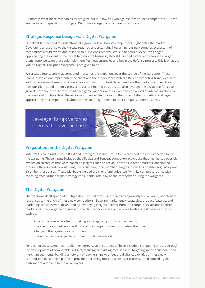Ultimately, what these companies must figure out is, "How do I win against these super-competitors?" These are the types of questions our Digital Disruption Wargame is designed to address.

#### Strategic Response Design via a Digital Wargame

Our client first needed to understand at a granular level how its competitors might enter the market. Developing a response to the threats required understanding how an increasingly complex ecosystem of competitors would evolve and respond to our client's actions. While a handful of executives began appreciating the extent of the threat to their core business, they still needed a vehicle to mobilize a larger client response team that could help them flesh out strategies and begin the defense process. This is what the Virtusa Digital Disruption Wargame is designed to do.

We created four teams that competed in a series of simulations over the course of the wargame. These teams, of which one represented the client and the others represented different competing firms, vied with each other during these business scenario simulations to best determine how the market might evolve and how our client could not only protect its current market position, but also leverage the disruptive forces to grow its revenue base. At the end of each game winners were declared to add a level of internal rivalry. Over the course of multiple days, these teams immersed themselves in the shoes of the competitor and began appreciating the competitor playbook and what it might mean to their company's core business.

Leverage disruptive forces to grow the revenue base.



#### Preparation for the Digital Wargame

Virtusa's China Insights Group (CIG) and Strategic Research Group (SRG) provided the inputs needed to run the wargame. These inputs included the Alibaba and Tencent competitor playbooks that highlighted possible expansion strategies that were based on insights such as previous actions in other markets, anticipated product offerings and roll-out plans, likely customer and merchant targets, as well as possible regulatory and incumbent responses. These playbooks helped the client familiarize itself with its competitors and, with coaching from Virtusa digital strategy consultants, role-play as the competitor during the wargame.

#### The Digital Wargame

The wargame itself spanned multiple days. This allowed client teams to rigorously test a variety of potential responses to the entry of these new competitors. Baseline market entry strategies, product features, and marketing activities were developed by leveraging insights derived from the competitors' actions in other markets. As the wargame progressed, specific scenarios were put in place to stress test these responses, such as:

- One of the competitor teams making a strategic acquisition or partnership
- The client team partnering with one of the competitor teams to defeat the other
- Changing the regulatory environment
- The entrance of unexpected competitor into the market

For each of these scenarios the client explored several strategies. These included: competing directly through the development of comparable skillsets; focusing on existing core services; targeting specific customer and merchant segments; building a network of partnerships to offset the digital capabilities of these new competitors; becoming a platform provider; becoming more of a low-cost processor and conceding the customer relationship to the new players.